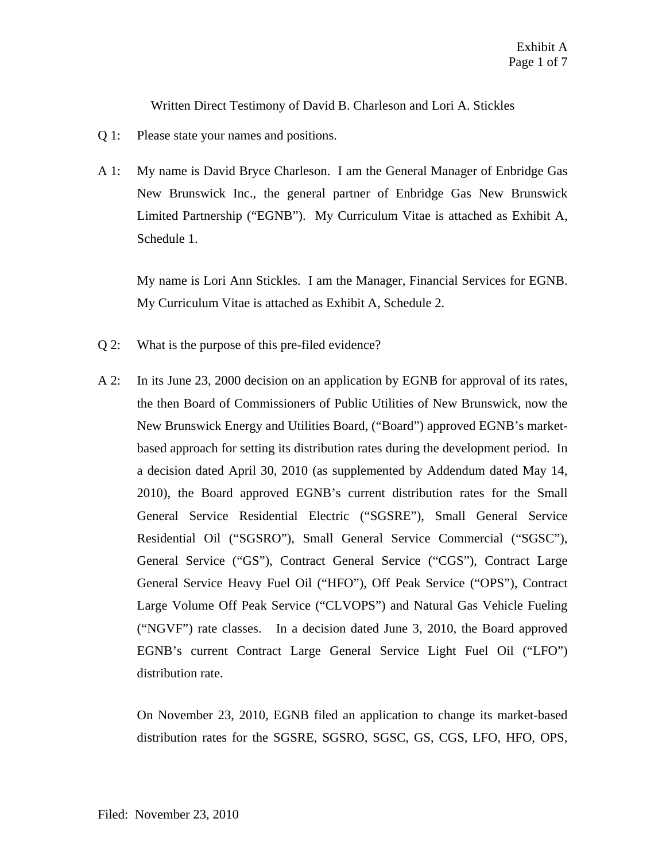Written Direct Testimony of David B. Charleson and Lori A. Stickles

- Q 1: Please state your names and positions.
- A 1: My name is David Bryce Charleson. I am the General Manager of Enbridge Gas New Brunswick Inc., the general partner of Enbridge Gas New Brunswick Limited Partnership ("EGNB"). My Curriculum Vitae is attached as Exhibit A, Schedule 1.

My name is Lori Ann Stickles. I am the Manager, Financial Services for EGNB. My Curriculum Vitae is attached as Exhibit A, Schedule 2.

- Q 2: What is the purpose of this pre-filed evidence?
- A 2: In its June 23, 2000 decision on an application by EGNB for approval of its rates, the then Board of Commissioners of Public Utilities of New Brunswick, now the New Brunswick Energy and Utilities Board, ("Board") approved EGNB's marketbased approach for setting its distribution rates during the development period. In a decision dated April 30, 2010 (as supplemented by Addendum dated May 14, 2010), the Board approved EGNB's current distribution rates for the Small General Service Residential Electric ("SGSRE"), Small General Service Residential Oil ("SGSRO"), Small General Service Commercial ("SGSC"), General Service ("GS"), Contract General Service ("CGS"), Contract Large General Service Heavy Fuel Oil ("HFO"), Off Peak Service ("OPS"), Contract Large Volume Off Peak Service ("CLVOPS") and Natural Gas Vehicle Fueling ("NGVF") rate classes. In a decision dated June 3, 2010, the Board approved EGNB's current Contract Large General Service Light Fuel Oil ("LFO") distribution rate.

On November 23, 2010, EGNB filed an application to change its market-based distribution rates for the SGSRE, SGSRO, SGSC, GS, CGS, LFO, HFO, OPS,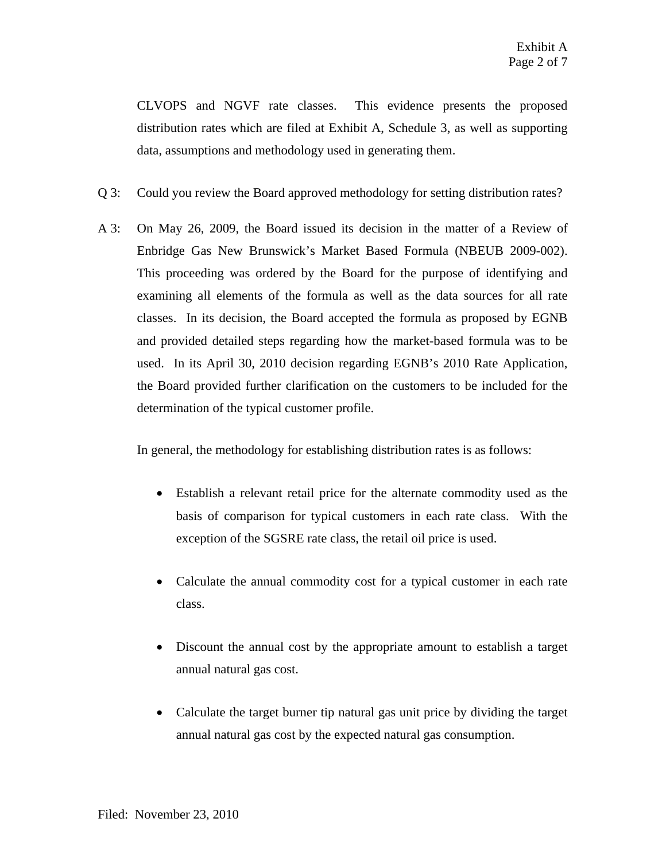CLVOPS and NGVF rate classes. This evidence presents the proposed distribution rates which are filed at Exhibit A, Schedule 3, as well as supporting data, assumptions and methodology used in generating them.

- Q 3: Could you review the Board approved methodology for setting distribution rates?
- A 3: On May 26, 2009, the Board issued its decision in the matter of a Review of Enbridge Gas New Brunswick's Market Based Formula (NBEUB 2009-002). This proceeding was ordered by the Board for the purpose of identifying and examining all elements of the formula as well as the data sources for all rate classes. In its decision, the Board accepted the formula as proposed by EGNB and provided detailed steps regarding how the market-based formula was to be used. In its April 30, 2010 decision regarding EGNB's 2010 Rate Application, the Board provided further clarification on the customers to be included for the determination of the typical customer profile.

In general, the methodology for establishing distribution rates is as follows:

- Establish a relevant retail price for the alternate commodity used as the basis of comparison for typical customers in each rate class. With the exception of the SGSRE rate class, the retail oil price is used.
- Calculate the annual commodity cost for a typical customer in each rate class.
- Discount the annual cost by the appropriate amount to establish a target annual natural gas cost.
- Calculate the target burner tip natural gas unit price by dividing the target annual natural gas cost by the expected natural gas consumption.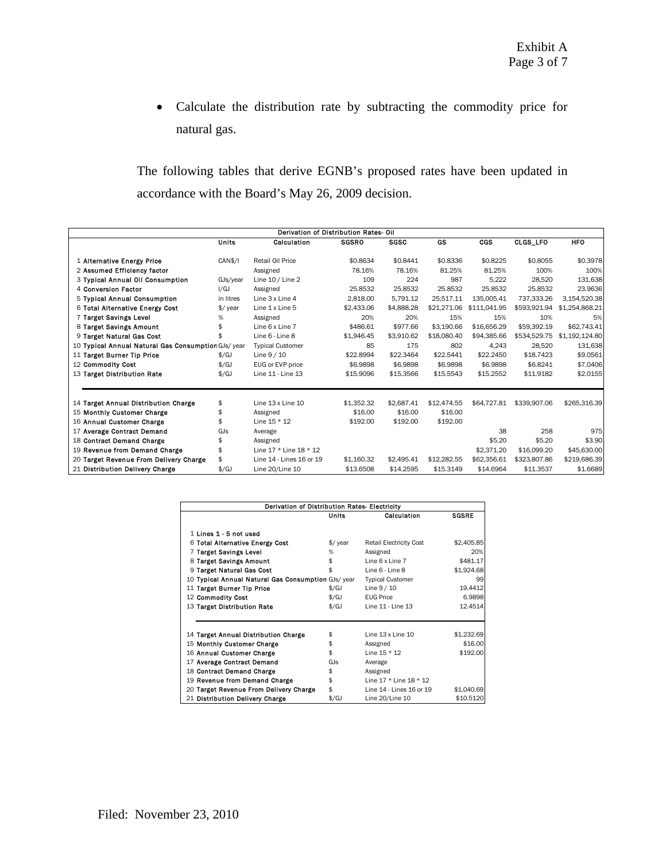• Calculate the distribution rate by subtracting the commodity price for natural gas.

The following tables that derive EGNB's proposed rates have been updated in accordance with the Board's May 26, 2009 decision.

| Derivation of Distribution Rates- Oil               |               |                          |              |             |             |              |              |                |  |
|-----------------------------------------------------|---------------|--------------------------|--------------|-------------|-------------|--------------|--------------|----------------|--|
|                                                     | <b>Units</b>  | Calculation              | <b>SGSRO</b> | <b>SGSC</b> | GS          | <b>CGS</b>   | CLGS_LFO     | <b>HFO</b>     |  |
| 1 Alternative Energy Price                          | CAN\$/I       | Retail Oil Price         | \$0.8634     | \$0.8441    | \$0.8336    | \$0.8225     | \$0.8055     | \$0.3978       |  |
| 2 Assumed Efficiency factor                         |               | Assigned                 | 78.16%       | 78.16%      | 81.25%      | 81.25%       | 100%         | 100%           |  |
| 3 Typical Annual Oil Consumption                    | GJs/year      | Line 10 / Line 2         | 109          | 224         | 987         | 5.222        | 28.520       | 131,638        |  |
| 4 Conversion Factor                                 | I/GJ          | Assigned                 | 25.8532      | 25.8532     | 25.8532     | 25.8532      | 25.8532      | 23.9636        |  |
| 5 Typical Annual Consumption                        | in litres     | Line 3 x Line 4          | 2.818.00     | 5.791.12    | 25.517.11   | 135.005.41   | 737.333.26   | 3,154,520.38   |  |
| 6 Total Alternative Energy Cost                     | \$/ year      | Line 1 x Line 5          | \$2,433.06   | \$4,888.28  | \$21,271.06 | \$111,041.95 | \$593,921.94 | \$1,254,868.21 |  |
| 7 Target Savings Level                              | %             | Assigned                 | 20%          | 20%         | 15%         | 15%          | 10%          | 5%             |  |
| 8 Target Savings Amount                             | \$            | Line 6 x Line 7          | \$486.61     | \$977.66    | \$3,190.66  | \$16,656.29  | \$59.392.19  | \$62,743.41    |  |
| 9 Target Natural Gas Cost                           |               | Line 6 - Line 8          | \$1.946.45   | \$3.910.62  | \$18,080.40 | \$94.385.66  | \$534.529.75 | \$1,192,124.80 |  |
| 10 Typical Annual Natural Gas Consumption GJs/ year |               | <b>Typical Customer</b>  | 85           | 175         | 802         | 4.243        | 28.520       | 131,638        |  |
| 11 Target Burner Tip Price                          | $\frac{f}{g}$ | Line $9/10$              | \$22.8994    | \$22.3464   | \$22.5441   | \$22.2450    | \$18,7423    | \$9.0561       |  |
| 12 Commodity Cost                                   | $\frac{f}{g}$ | EUG or EVP price         | \$6.9898     | \$6,9898    | \$6,9898    | \$6.9898     | \$6,8241     | \$7.0406       |  |
| 13 Target Distribution Rate                         | $\frac{f}{g}$ | Line 11 - Line 13        | \$15,9096    | \$15.3566   | \$15,5543   | \$15.2552    | \$11,9182    | \$2.0155       |  |
|                                                     |               |                          |              |             |             |              |              |                |  |
| 14 Target Annual Distribution Charge                | \$            | Line 13 x Line 10        | \$1.352.32   | \$2,687.41  | \$12,474.55 | \$64,727.81  | \$339,907.06 | \$265.316.39   |  |
| 15 Monthly Customer Charge                          | \$            | Assigned                 | \$16.00      | \$16.00     | \$16.00     |              |              |                |  |
| 16 Annual Customer Charge                           |               | Line $15 * 12$           | \$192.00     | \$192.00    | \$192.00    |              |              |                |  |
| 17 Average Contract Demand                          | GJs           | Average                  |              |             |             | 38           | 258          | 975            |  |
| 18 Contract Demand Charge                           |               | Assigned                 |              |             |             | \$5.20       | \$5.20       | \$3.90         |  |
| 19 Revenue from Demand Charge                       |               | Line 17 * Line 18 * 12   |              |             |             | \$2.371.20   | \$16,099.20  | \$45,630,00    |  |
| 20 Target Revenue From Delivery Charge              |               | Line 14 - Lines 16 or 19 | \$1,160.32   | \$2,495.41  | \$12,282.55 | \$62,356.61  | \$323,807.86 | \$219,686.39   |  |
| 21 Distribution Delivery Charge                     | $\frac{f}{g}$ | Line 20/Line 10          | \$13,6508    | \$14.2595   | \$15,3149   | \$14,6964    | \$11.3537    | \$1,6689       |  |

| Derivation of Distribution Rates- Electricity       |                 |                                |              |  |  |  |  |  |
|-----------------------------------------------------|-----------------|--------------------------------|--------------|--|--|--|--|--|
|                                                     | Units           | Calculation                    | <b>SGSRE</b> |  |  |  |  |  |
| 1 Lines 1 - 5 not used                              |                 |                                |              |  |  |  |  |  |
|                                                     |                 |                                |              |  |  |  |  |  |
| 6 Total Alternative Energy Cost                     | $\sqrt{$}$ year | <b>Retail Electricity Cost</b> | \$2,405.85   |  |  |  |  |  |
| 7 Target Savings Level                              | ℅               | Assigned                       | 20%          |  |  |  |  |  |
| 8 Target Savings Amount                             | \$              | Line 6 x Line 7                | \$481.17     |  |  |  |  |  |
| 9 Target Natural Gas Cost                           |                 | Line 6 - Line 8                | \$1,924.68   |  |  |  |  |  |
| 10 Typical Annual Natural Gas Consumption GJs/ year |                 | <b>Typical Customer</b>        | 99           |  |  |  |  |  |
| 11 Target Burner Tip Price                          | $\frac{f}{f}$   | Line $9/10$                    | 19.4412      |  |  |  |  |  |
| 12 Commodity Cost                                   | $\frac{f}{f}$   | <b>EUG Price</b>               | 6.9898       |  |  |  |  |  |
| 13 Target Distribution Rate                         | $\frac{f}{f}$   | Line 11 - Line 13              | 12.4514      |  |  |  |  |  |
|                                                     |                 |                                |              |  |  |  |  |  |
|                                                     |                 |                                |              |  |  |  |  |  |
| 14 Target Annual Distribution Charge                | \$              | Line $13x$ Line $10$           | \$1,232.69   |  |  |  |  |  |
| 15 Monthly Customer Charge                          | \$              | Assigned                       | \$16.00      |  |  |  |  |  |
| 16 Annual Customer Charge                           | \$              | Line $15 * 12$                 | \$192.00     |  |  |  |  |  |
| 17 Average Contract Demand                          | GJs             | Average                        |              |  |  |  |  |  |
| 18 Contract Demand Charge                           | \$              | Assigned                       |              |  |  |  |  |  |
| 19 Revenue from Demand Charge                       | \$              | Line 17 * Line 18 * 12         |              |  |  |  |  |  |
| 20 Target Revenue From Delivery Charge              | \$              | Line 14 - Lines 16 or 19       | \$1,040.69   |  |  |  |  |  |
| 21 Distribution Delivery Charge                     | \$/GJ           | Line 20/Line 10                | \$10.5120    |  |  |  |  |  |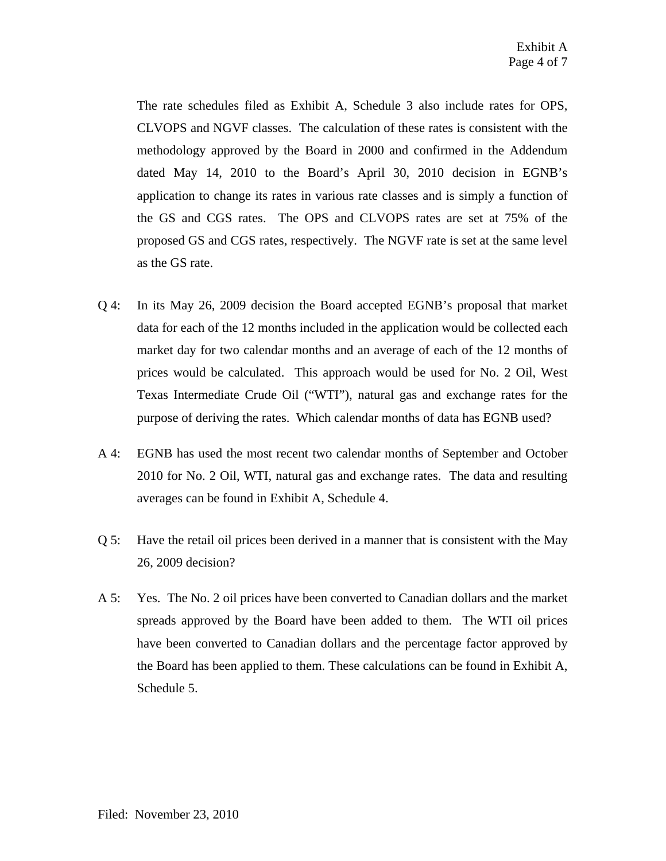The rate schedules filed as Exhibit A, Schedule 3 also include rates for OPS, CLVOPS and NGVF classes. The calculation of these rates is consistent with the methodology approved by the Board in 2000 and confirmed in the Addendum dated May 14, 2010 to the Board's April 30, 2010 decision in EGNB's application to change its rates in various rate classes and is simply a function of the GS and CGS rates. The OPS and CLVOPS rates are set at 75% of the proposed GS and CGS rates, respectively. The NGVF rate is set at the same level as the GS rate.

- Q 4: In its May 26, 2009 decision the Board accepted EGNB's proposal that market data for each of the 12 months included in the application would be collected each market day for two calendar months and an average of each of the 12 months of prices would be calculated. This approach would be used for No. 2 Oil, West Texas Intermediate Crude Oil ("WTI"), natural gas and exchange rates for the purpose of deriving the rates. Which calendar months of data has EGNB used?
- A 4: EGNB has used the most recent two calendar months of September and October 2010 for No. 2 Oil, WTI, natural gas and exchange rates. The data and resulting averages can be found in Exhibit A, Schedule 4.
- Q 5: Have the retail oil prices been derived in a manner that is consistent with the May 26, 2009 decision?
- A 5: Yes. The No. 2 oil prices have been converted to Canadian dollars and the market spreads approved by the Board have been added to them. The WTI oil prices have been converted to Canadian dollars and the percentage factor approved by the Board has been applied to them. These calculations can be found in Exhibit A, Schedule 5.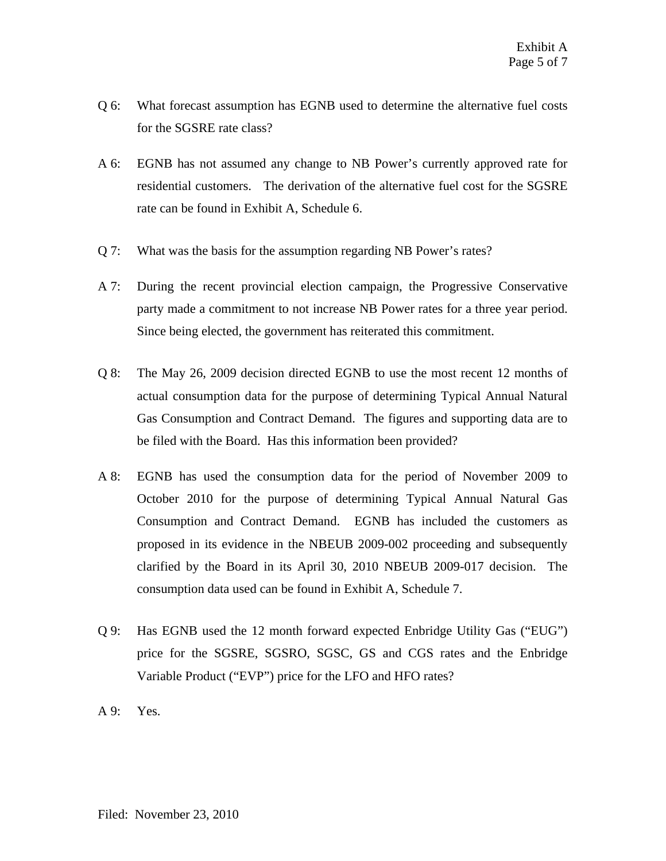- Q 6: What forecast assumption has EGNB used to determine the alternative fuel costs for the SGSRE rate class?
- A 6: EGNB has not assumed any change to NB Power's currently approved rate for residential customers. The derivation of the alternative fuel cost for the SGSRE rate can be found in Exhibit A, Schedule 6.
- Q 7: What was the basis for the assumption regarding NB Power's rates?
- A 7: During the recent provincial election campaign, the Progressive Conservative party made a commitment to not increase NB Power rates for a three year period. Since being elected, the government has reiterated this commitment.
- Q 8: The May 26, 2009 decision directed EGNB to use the most recent 12 months of actual consumption data for the purpose of determining Typical Annual Natural Gas Consumption and Contract Demand. The figures and supporting data are to be filed with the Board. Has this information been provided?
- A 8: EGNB has used the consumption data for the period of November 2009 to October 2010 for the purpose of determining Typical Annual Natural Gas Consumption and Contract Demand. EGNB has included the customers as proposed in its evidence in the NBEUB 2009-002 proceeding and subsequently clarified by the Board in its April 30, 2010 NBEUB 2009-017 decision. The consumption data used can be found in Exhibit A, Schedule 7.
- Q 9: Has EGNB used the 12 month forward expected Enbridge Utility Gas ("EUG") price for the SGSRE, SGSRO, SGSC, GS and CGS rates and the Enbridge Variable Product ("EVP") price for the LFO and HFO rates?
- A 9: Yes.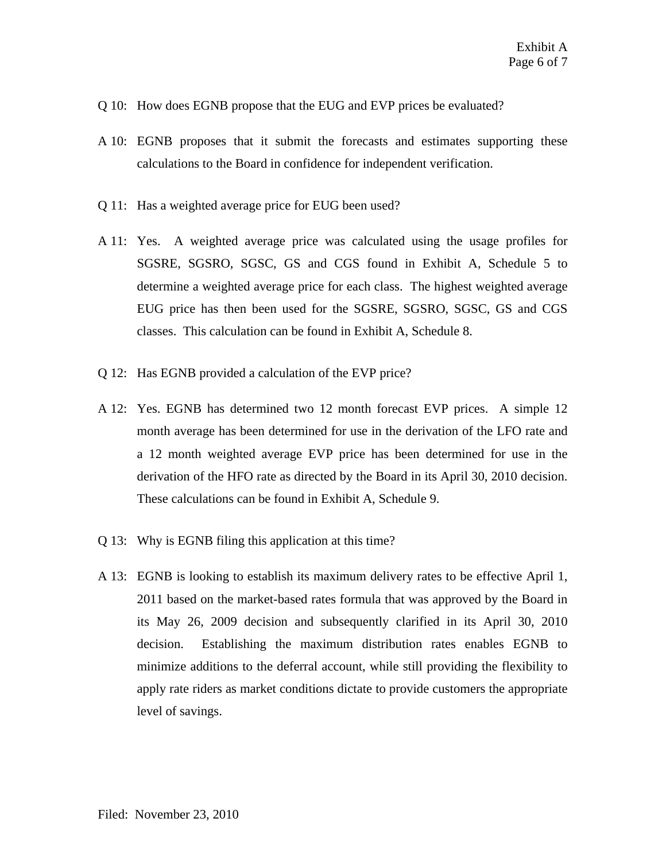- Q 10: How does EGNB propose that the EUG and EVP prices be evaluated?
- A 10: EGNB proposes that it submit the forecasts and estimates supporting these calculations to the Board in confidence for independent verification.
- Q 11: Has a weighted average price for EUG been used?
- A 11: Yes. A weighted average price was calculated using the usage profiles for SGSRE, SGSRO, SGSC, GS and CGS found in Exhibit A, Schedule 5 to determine a weighted average price for each class. The highest weighted average EUG price has then been used for the SGSRE, SGSRO, SGSC, GS and CGS classes. This calculation can be found in Exhibit A, Schedule 8.
- Q 12: Has EGNB provided a calculation of the EVP price?
- A 12: Yes. EGNB has determined two 12 month forecast EVP prices. A simple 12 month average has been determined for use in the derivation of the LFO rate and a 12 month weighted average EVP price has been determined for use in the derivation of the HFO rate as directed by the Board in its April 30, 2010 decision. These calculations can be found in Exhibit A, Schedule 9.
- Q 13: Why is EGNB filing this application at this time?
- A 13: EGNB is looking to establish its maximum delivery rates to be effective April 1, 2011 based on the market-based rates formula that was approved by the Board in its May 26, 2009 decision and subsequently clarified in its April 30, 2010 decision. Establishing the maximum distribution rates enables EGNB to minimize additions to the deferral account, while still providing the flexibility to apply rate riders as market conditions dictate to provide customers the appropriate level of savings.